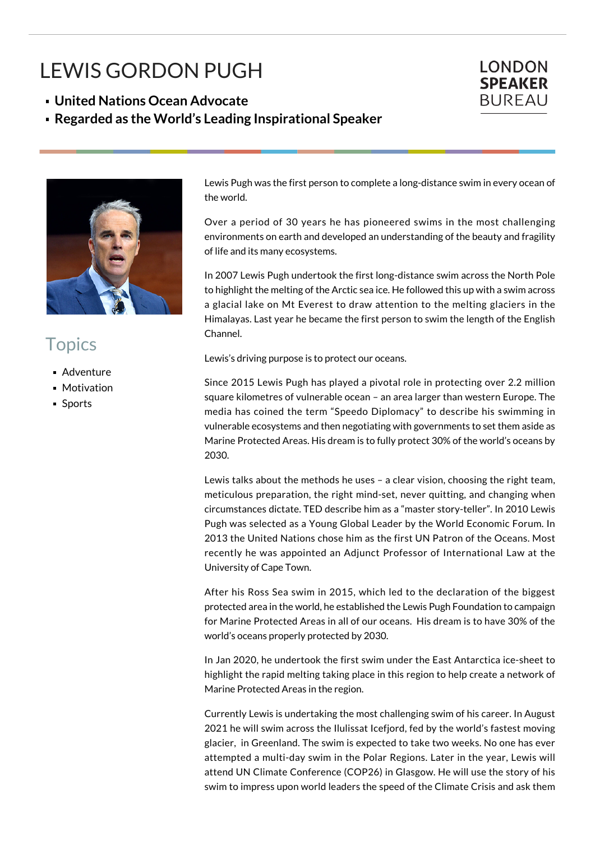## LEWIS GORDON PUGH

**United Nations Ocean Advocate**

**Regarded as the World's Leading Inspirational Speaker**





## **Topics**

- Adventure
- **Motivation**
- **Sports**

Lewis Pugh was the first person to complete a long-distance swim in every ocean of the world.

Over a period of 30 years he has pioneered swims in the most challenging environments on earth and developed an understanding of the beauty and fragility of life and its many ecosystems.

In 2007 Lewis Pugh undertook the first long-distance swim across the North Pole to highlight the melting of the Arctic sea ice. He followed this up with a swim across a glacial lake on Mt Everest to draw attention to the melting glaciers in the Himalayas. Last year he became the first person to swim the length of the English Channel.

Lewis's driving purpose is to protect our oceans.

Since 2015 Lewis Pugh has played a pivotal role in protecting over 2.2 million square kilometres of vulnerable ocean – an area larger than western Europe. The media has coined the term "Speedo Diplomacy" to describe his swimming in vulnerable ecosystems and then negotiating with governments to set them aside as Marine Protected Areas. His dream is to fully protect 30% of the world's oceans by 2030.

Lewis talks about the methods he uses – a clear vision, choosing the right team, meticulous preparation, the right mind-set, never quitting, and changing when circumstances dictate. TED describe him as a "master story-teller". In 2010 Lewis Pugh was selected as a Young Global Leader by the World Economic Forum. In 2013 the United Nations chose him as the first UN Patron of the Oceans. Most recently he was appointed an Adjunct Professor of International Law at the University of Cape Town.

After his Ross Sea swim in 2015, which led to the declaration of the biggest protected area in the world, he established the Lewis Pugh Foundation to campaign for Marine Protected Areas in all of our oceans. His dream is to have 30% of the world's oceans properly protected by 2030.

In Jan 2020, he undertook the first swim under the East Antarctica ice-sheet to highlight the rapid melting taking place in this region to help create a network of Marine Protected Areas in the region.

Currently Lewis is undertaking the most challenging swim of his career. In August 2021 he will swim across the Ilulissat Icefjord, fed by the world's fastest moving glacier, in Greenland. The swim is expected to take two weeks. No one has ever attempted a multi-day swim in the Polar Regions. Later in the year, Lewis will attend UN Climate Conference (COP26) in Glasgow. He will use the story of his swim to impress upon world leaders the speed of the Climate Crisis and ask them